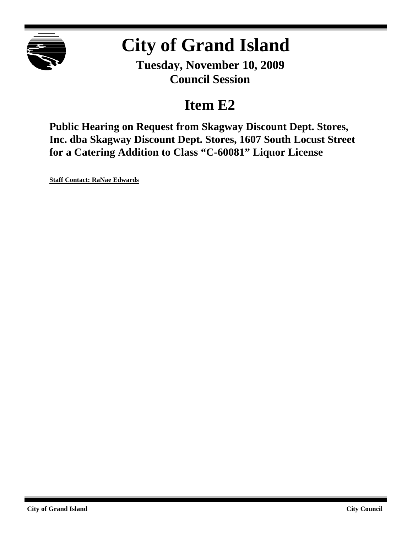

# **City of Grand Island**

**Tuesday, November 10, 2009 Council Session**

# **Item E2**

**Public Hearing on Request from Skagway Discount Dept. Stores, Inc. dba Skagway Discount Dept. Stores, 1607 South Locust Street for a Catering Addition to Class "C-60081" Liquor License**

**Staff Contact: RaNae Edwards**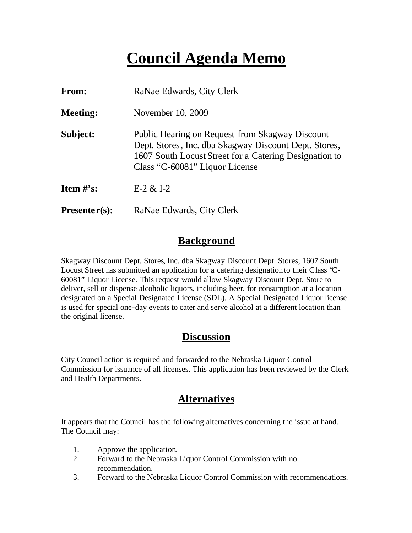# **Council Agenda Memo**

| From:           | RaNae Edwards, City Clerk                                                                                                                                                                            |
|-----------------|------------------------------------------------------------------------------------------------------------------------------------------------------------------------------------------------------|
| <b>Meeting:</b> | November 10, 2009                                                                                                                                                                                    |
| Subject:        | Public Hearing on Request from Skagway Discount<br>Dept. Stores, Inc. dba Skagway Discount Dept. Stores,<br>1607 South Locust Street for a Catering Designation to<br>Class "C-60081" Liquor License |
| Item $\#$ 's:   | $E-2 & 1-2$                                                                                                                                                                                          |
| $Presenter(s):$ | RaNae Edwards, City Clerk                                                                                                                                                                            |

## **Background**

Skagway Discount Dept. Stores, Inc. dba Skagway Discount Dept. Stores, 1607 South Locust Street has submitted an application for a catering designation to their Class "C-60081" Liquor License. This request would allow Skagway Discount Dept. Store to deliver, sell or dispense alcoholic liquors, including beer, for consumption at a location designated on a Special Designated License (SDL). A Special Designated Liquor license is used for special one-day events to cater and serve alcohol at a different location than the original license.

# **Discussion**

City Council action is required and forwarded to the Nebraska Liquor Control Commission for issuance of all licenses. This application has been reviewed by the Clerk and Health Departments.

## **Alternatives**

It appears that the Council has the following alternatives concerning the issue at hand. The Council may:

- 1. Approve the application.
- 2. Forward to the Nebraska Liquor Control Commission with no recommendation.
- 3. Forward to the Nebraska Liquor Control Commission with recommendations.